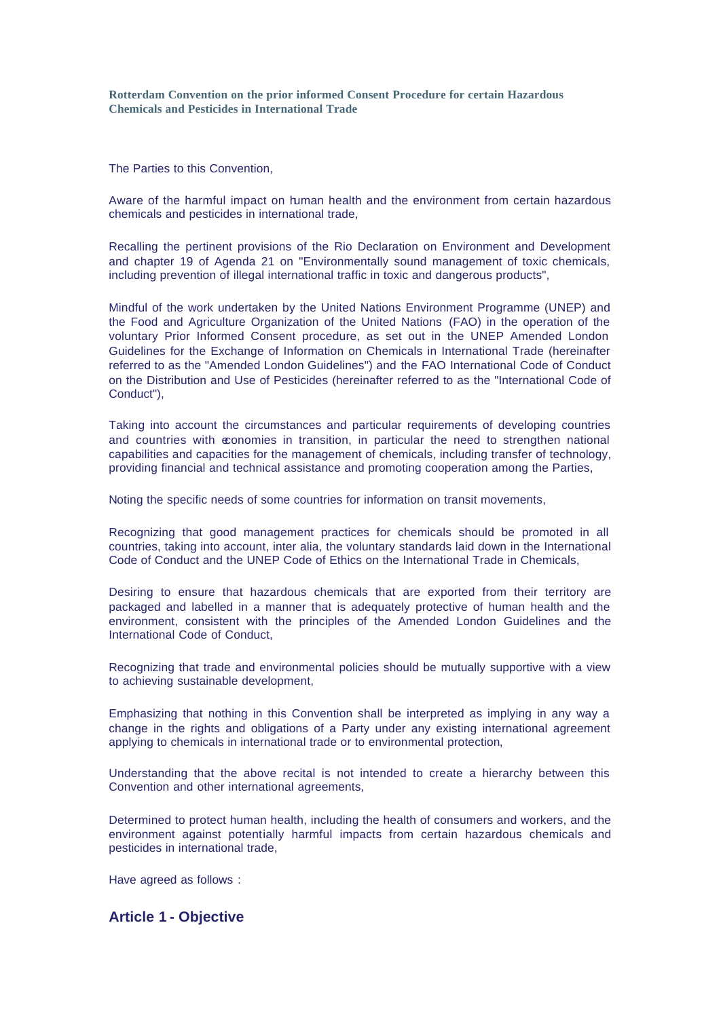**Rotterdam Convention on the prior informed Consent Procedure for certain Hazardous Chemicals and Pesticides in International Trade**

The Parties to this Convention,

Aware of the harmful impact on human health and the environment from certain hazardous chemicals and pesticides in international trade,

Recalling the pertinent provisions of the Rio Declaration on Environment and Development and chapter 19 of Agenda 21 on "Environmentally sound management of toxic chemicals, including prevention of illegal international traffic in toxic and dangerous products",

Mindful of the work undertaken by the United Nations Environment Programme (UNEP) and the Food and Agriculture Organization of the United Nations (FAO) in the operation of the voluntary Prior Informed Consent procedure, as set out in the UNEP Amended London Guidelines for the Exchange of Information on Chemicals in International Trade (hereinafter referred to as the "Amended London Guidelines") and the FAO International Code of Conduct on the Distribution and Use of Pesticides (hereinafter referred to as the "International Code of Conduct"),

Taking into account the circumstances and particular requirements of developing countries and countries with economies in transition, in particular the need to strengthen national capabilities and capacities for the management of chemicals, including transfer of technology, providing financial and technical assistance and promoting cooperation among the Parties,

Noting the specific needs of some countries for information on transit movements,

Recognizing that good management practices for chemicals should be promoted in all countries, taking into account, inter alia, the voluntary standards laid down in the International Code of Conduct and the UNEP Code of Ethics on the International Trade in Chemicals,

Desiring to ensure that hazardous chemicals that are exported from their territory are packaged and labelled in a manner that is adequately protective of human health and the environment, consistent with the principles of the Amended London Guidelines and the International Code of Conduct,

Recognizing that trade and environmental policies should be mutually supportive with a view to achieving sustainable development,

Emphasizing that nothing in this Convention shall be interpreted as implying in any way a change in the rights and obligations of a Party under any existing international agreement applying to chemicals in international trade or to environmental protection,

Understanding that the above recital is not intended to create a hierarchy between this Convention and other international agreements,

Determined to protect human health, including the health of consumers and workers, and the environment against potentially harmful impacts from certain hazardous chemicals and pesticides in international trade,

Have agreed as follows :

#### **Article 1 - Objective**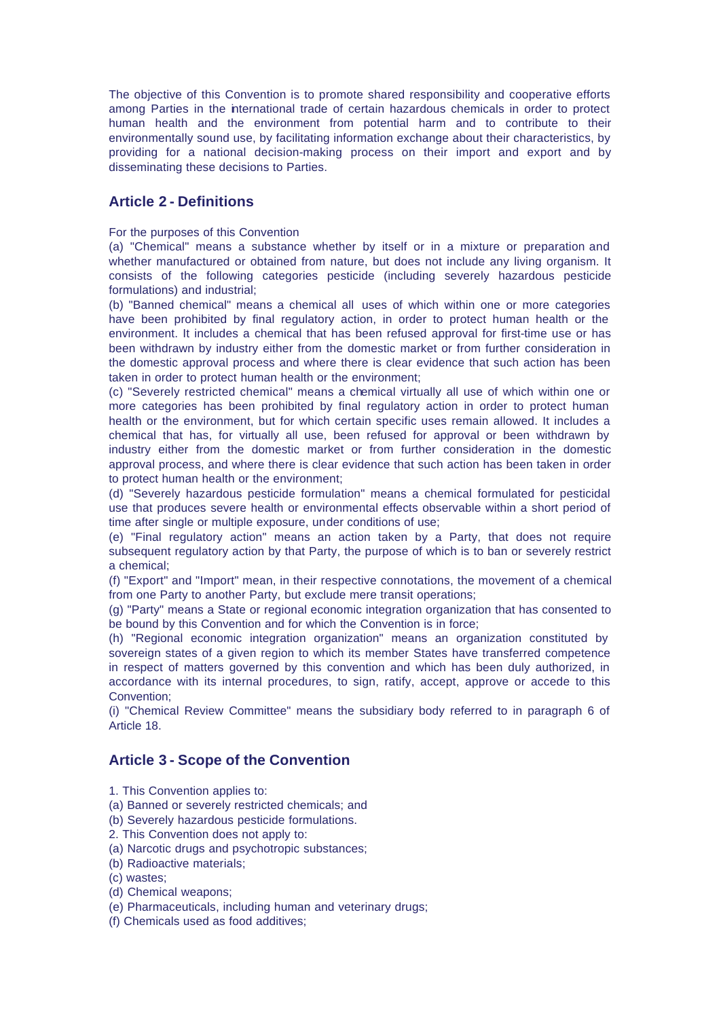The objective of this Convention is to promote shared responsibility and cooperative efforts among Parties in the international trade of certain hazardous chemicals in order to protect human health and the environment from potential harm and to contribute to their environmentally sound use, by facilitating information exchange about their characteristics, by providing for a national decision-making process on their import and export and by disseminating these decisions to Parties.

#### **Article 2 - Definitions**

#### For the purposes of this Convention

(a) "Chemical" means a substance whether by itself or in a mixture or preparation and whether manufactured or obtained from nature, but does not include any living organism. It consists of the following categories pesticide (including severely hazardous pesticide formulations) and industrial;

(b) "Banned chemical" means a chemical all uses of which within one or more categories have been prohibited by final regulatory action, in order to protect human health or the environment. It includes a chemical that has been refused approval for first-time use or has been withdrawn by industry either from the domestic market or from further consideration in the domestic approval process and where there is clear evidence that such action has been taken in order to protect human health or the environment;

(c) "Severely restricted chemical" means a chemical virtually all use of which within one or more categories has been prohibited by final regulatory action in order to protect human health or the environment, but for which certain specific uses remain allowed. It includes a chemical that has, for virtually all use, been refused for approval or been withdrawn by industry either from the domestic market or from further consideration in the domestic approval process, and where there is clear evidence that such action has been taken in order to protect human health or the environment;

(d) "Severely hazardous pesticide formulation" means a chemical formulated for pesticidal use that produces severe health or environmental effects observable within a short period of time after single or multiple exposure, under conditions of use;

(e) "Final regulatory action" means an action taken by a Party, that does not require subsequent regulatory action by that Party, the purpose of which is to ban or severely restrict a chemical;

(f) "Export" and "Import" mean, in their respective connotations, the movement of a chemical from one Party to another Party, but exclude mere transit operations;

(g) "Party" means a State or regional economic integration organization that has consented to be bound by this Convention and for which the Convention is in force;

(h) "Regional economic integration organization" means an organization constituted by sovereign states of a given region to which its member States have transferred competence in respect of matters governed by this convention and which has been duly authorized, in accordance with its internal procedures, to sign, ratify, accept, approve or accede to this Convention;

(i) "Chemical Review Committee" means the subsidiary body referred to in paragraph 6 of Article 18.

#### **Article 3 - Scope of the Convention**

- 1. This Convention applies to:
- (a) Banned or severely restricted chemicals; and
- (b) Severely hazardous pesticide formulations.
- 2. This Convention does not apply to:
- (a) Narcotic drugs and psychotropic substances;
- (b) Radioactive materials;
- (c) wastes;
- (d) Chemical weapons;
- (e) Pharmaceuticals, including human and veterinary drugs;
- (f) Chemicals used as food additives;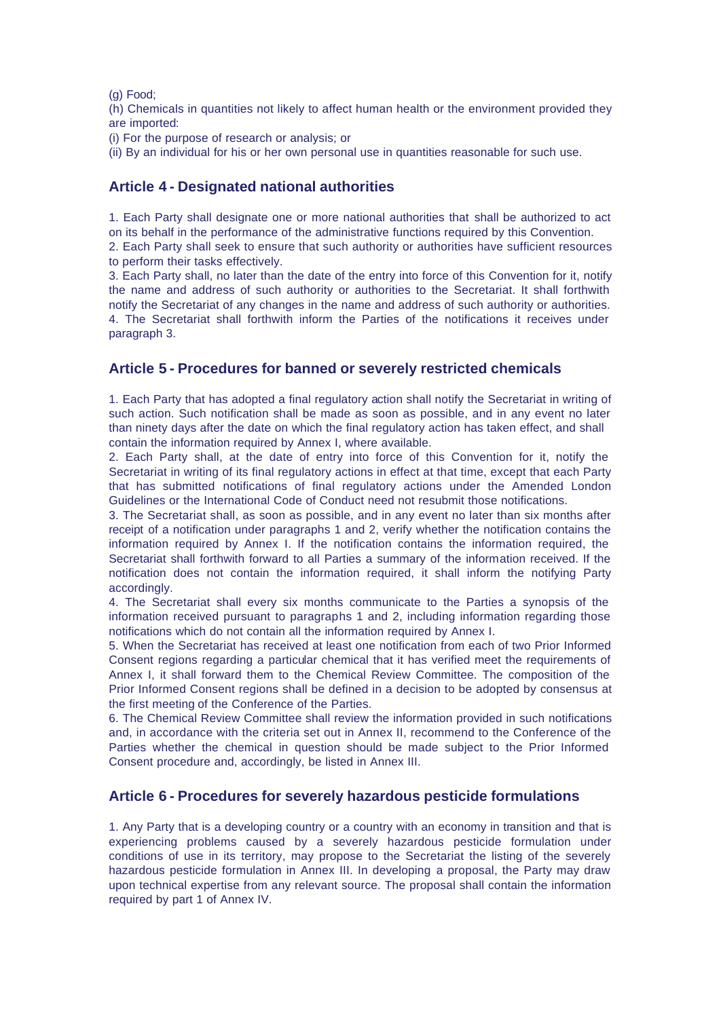(g) Food;

(h) Chemicals in quantities not likely to affect human health or the environment provided they are imported:

(i) For the purpose of research or analysis; or

(ii) By an individual for his or her own personal use in quantities reasonable for such use.

#### **Article 4 - Designated national authorities**

1. Each Party shall designate one or more national authorities that shall be authorized to act on its behalf in the performance of the administrative functions required by this Convention.

2. Each Party shall seek to ensure that such authority or authorities have sufficient resources to perform their tasks effectively.

3. Each Party shall, no later than the date of the entry into force of this Convention for it, notify the name and address of such authority or authorities to the Secretariat. It shall forthwith notify the Secretariat of any changes in the name and address of such authority or authorities. 4. The Secretariat shall forthwith inform the Parties of the notifications it receives under paragraph 3.

#### **Article 5 - Procedures for banned or severely restricted chemicals**

1. Each Party that has adopted a final regulatory action shall notify the Secretariat in writing of such action. Such notification shall be made as soon as possible, and in any event no later than ninety days after the date on which the final regulatory action has taken effect, and shall contain the information required by Annex I, where available.

2. Each Party shall, at the date of entry into force of this Convention for it, notify the Secretariat in writing of its final regulatory actions in effect at that time, except that each Party that has submitted notifications of final regulatory actions under the Amended London Guidelines or the International Code of Conduct need not resubmit those notifications.

3. The Secretariat shall, as soon as possible, and in any event no later than six months after receipt of a notification under paragraphs 1 and 2, verify whether the notification contains the information required by Annex I. If the notification contains the information required, the Secretariat shall forthwith forward to all Parties a summary of the information received. If the notification does not contain the information required, it shall inform the notifying Party accordingly.

4. The Secretariat shall every six months communicate to the Parties a synopsis of the information received pursuant to paragraphs 1 and 2, including information regarding those notifications which do not contain all the information required by Annex I.

5. When the Secretariat has received at least one notification from each of two Prior Informed Consent regions regarding a particular chemical that it has verified meet the requirements of Annex I, it shall forward them to the Chemical Review Committee. The composition of the Prior Informed Consent regions shall be defined in a decision to be adopted by consensus at the first meeting of the Conference of the Parties.

6. The Chemical Review Committee shall review the information provided in such notifications and, in accordance with the criteria set out in Annex II, recommend to the Conference of the Parties whether the chemical in question should be made subject to the Prior Informed Consent procedure and, accordingly, be listed in Annex III.

#### **Article 6 - Procedures for severely hazardous pesticide formulations**

1. Any Party that is a developing country or a country with an economy in transition and that is experiencing problems caused by a severely hazardous pesticide formulation under conditions of use in its territory, may propose to the Secretariat the listing of the severely hazardous pesticide formulation in Annex III. In developing a proposal, the Party may draw upon technical expertise from any relevant source. The proposal shall contain the information required by part 1 of Annex IV.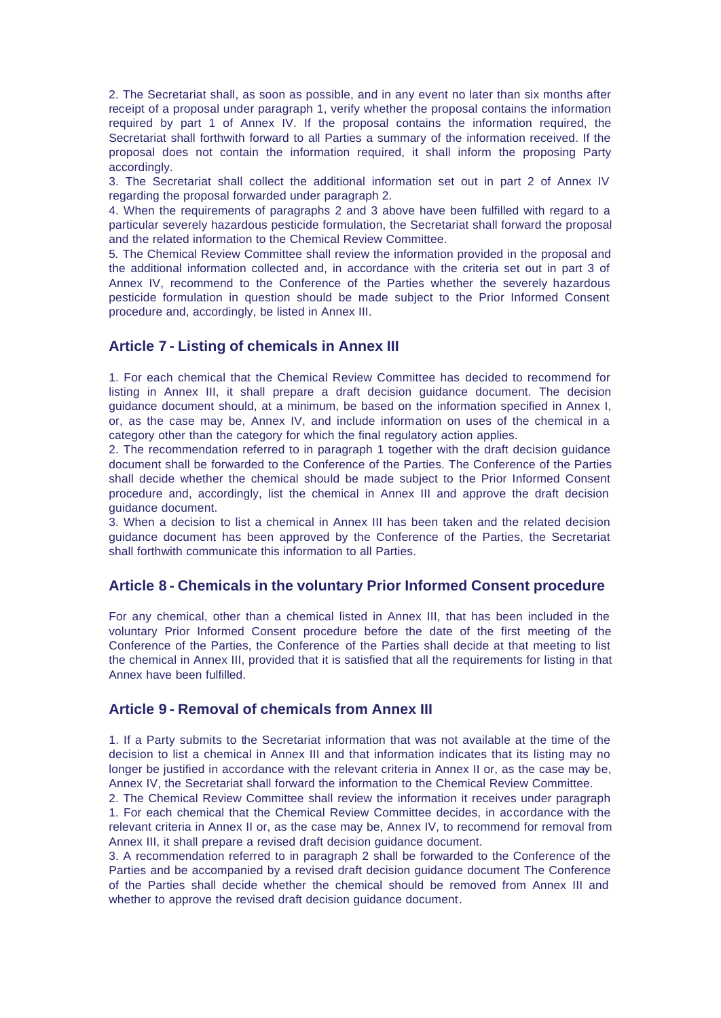2. The Secretariat shall, as soon as possible, and in any event no later than six months after receipt of a proposal under paragraph 1, verify whether the proposal contains the information required by part 1 of Annex IV. If the proposal contains the information required, the Secretariat shall forthwith forward to all Parties a summary of the information received. If the proposal does not contain the information required, it shall inform the proposing Party accordingly.

3. The Secretariat shall collect the additional information set out in part 2 of Annex IV regarding the proposal forwarded under paragraph 2.

4. When the requirements of paragraphs 2 and 3 above have been fulfilled with regard to a particular severely hazardous pesticide formulation, the Secretariat shall forward the proposal and the related information to the Chemical Review Committee.

5. The Chemical Review Committee shall review the information provided in the proposal and the additional information collected and, in accordance with the criteria set out in part 3 of Annex IV, recommend to the Conference of the Parties whether the severely hazardous pesticide formulation in question should be made subject to the Prior Informed Consent procedure and, accordingly, be listed in Annex III.

#### **Article 7 - Listing of chemicals in Annex III**

1. For each chemical that the Chemical Review Committee has decided to recommend for listing in Annex III, it shall prepare a draft decision guidance document. The decision guidance document should, at a minimum, be based on the information specified in Annex I, or, as the case may be, Annex IV, and include information on uses of the chemical in a category other than the category for which the final regulatory action applies.

2. The recommendation referred to in paragraph 1 together with the draft decision guidance document shall be forwarded to the Conference of the Parties. The Conference of the Parties shall decide whether the chemical should be made subject to the Prior Informed Consent procedure and, accordingly, list the chemical in Annex III and approve the draft decision guidance document.

3. When a decision to list a chemical in Annex III has been taken and the related decision guidance document has been approved by the Conference of the Parties, the Secretariat shall forthwith communicate this information to all Parties.

#### **Article 8 - Chemicals in the voluntary Prior Informed Consent procedure**

For any chemical, other than a chemical listed in Annex III, that has been included in the voluntary Prior Informed Consent procedure before the date of the first meeting of the Conference of the Parties, the Conference of the Parties shall decide at that meeting to list the chemical in Annex III, provided that it is satisfied that all the requirements for listing in that Annex have been fulfilled.

#### **Article 9 - Removal of chemicals from Annex III**

1. If a Party submits to the Secretariat information that was not available at the time of the decision to list a chemical in Annex III and that information indicates that its listing may no longer be justified in accordance with the relevant criteria in Annex II or, as the case may be, Annex IV, the Secretariat shall forward the information to the Chemical Review Committee.

2. The Chemical Review Committee shall review the information it receives under paragraph 1. For each chemical that the Chemical Review Committee decides, in accordance with the relevant criteria in Annex II or, as the case may be, Annex IV, to recommend for removal from Annex III, it shall prepare a revised draft decision guidance document.

3. A recommendation referred to in paragraph 2 shall be forwarded to the Conference of the Parties and be accompanied by a revised draft decision guidance document The Conference of the Parties shall decide whether the chemical should be removed from Annex III and whether to approve the revised draft decision guidance document.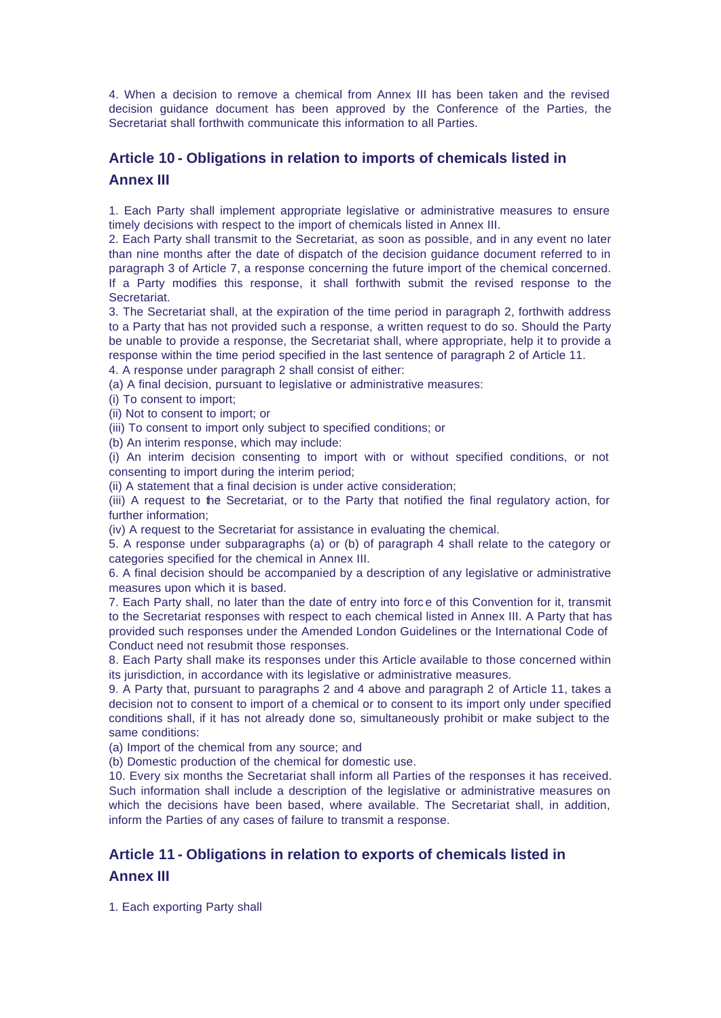4. When a decision to remove a chemical from Annex III has been taken and the revised decision guidance document has been approved by the Conference of the Parties, the Secretariat shall forthwith communicate this information to all Parties.

### **Article 10 - Obligations in relation to imports of chemicals listed in Annex III**

1. Each Party shall implement appropriate legislative or administrative measures to ensure timely decisions with respect to the import of chemicals listed in Annex III.

2. Each Party shall transmit to the Secretariat, as soon as possible, and in any event no later than nine months after the date of dispatch of the decision guidance document referred to in paragraph 3 of Article 7, a response concerning the future import of the chemical concerned. If a Party modifies this response, it shall forthwith submit the revised response to the Secretariat.

3. The Secretariat shall, at the expiration of the time period in paragraph 2, forthwith address to a Party that has not provided such a response, a written request to do so. Should the Party be unable to provide a response, the Secretariat shall, where appropriate, help it to provide a response within the time period specified in the last sentence of paragraph 2 of Article 11.

4. A response under paragraph 2 shall consist of either:

(a) A final decision, pursuant to legislative or administrative measures:

(i) To consent to import;

(ii) Not to consent to import; or

(iii) To consent to import only subject to specified conditions; or

(b) An interim response, which may include:

(i) An interim decision consenting to import with or without specified conditions, or not consenting to import during the interim period;

(ii) A statement that a final decision is under active consideration;

(iii) A request to the Secretariat, or to the Party that notified the final regulatory action, for further information;

(iv) A request to the Secretariat for assistance in evaluating the chemical.

5. A response under subparagraphs (a) or (b) of paragraph 4 shall relate to the category or categories specified for the chemical in Annex III.

6. A final decision should be accompanied by a description of any legislative or administrative measures upon which it is based.

7. Each Party shall, no later than the date of entry into forc e of this Convention for it, transmit to the Secretariat responses with respect to each chemical listed in Annex III. A Party that has provided such responses under the Amended London Guidelines or the International Code of Conduct need not resubmit those responses.

8. Each Party shall make its responses under this Article available to those concerned within its jurisdiction, in accordance with its legislative or administrative measures.

9. A Party that, pursuant to paragraphs 2 and 4 above and paragraph 2 of Article 11, takes a decision not to consent to import of a chemical or to consent to its import only under specified conditions shall, if it has not already done so, simultaneously prohibit or make subject to the same conditions:

(a) Import of the chemical from any source; and

(b) Domestic production of the chemical for domestic use.

10. Every six months the Secretariat shall inform all Parties of the responses it has received. Such information shall include a description of the legislative or administrative measures on which the decisions have been based, where available. The Secretariat shall, in addition, inform the Parties of any cases of failure to transmit a response.

## **Article 11 - Obligations in relation to exports of chemicals listed in Annex III**

1. Each exporting Party shall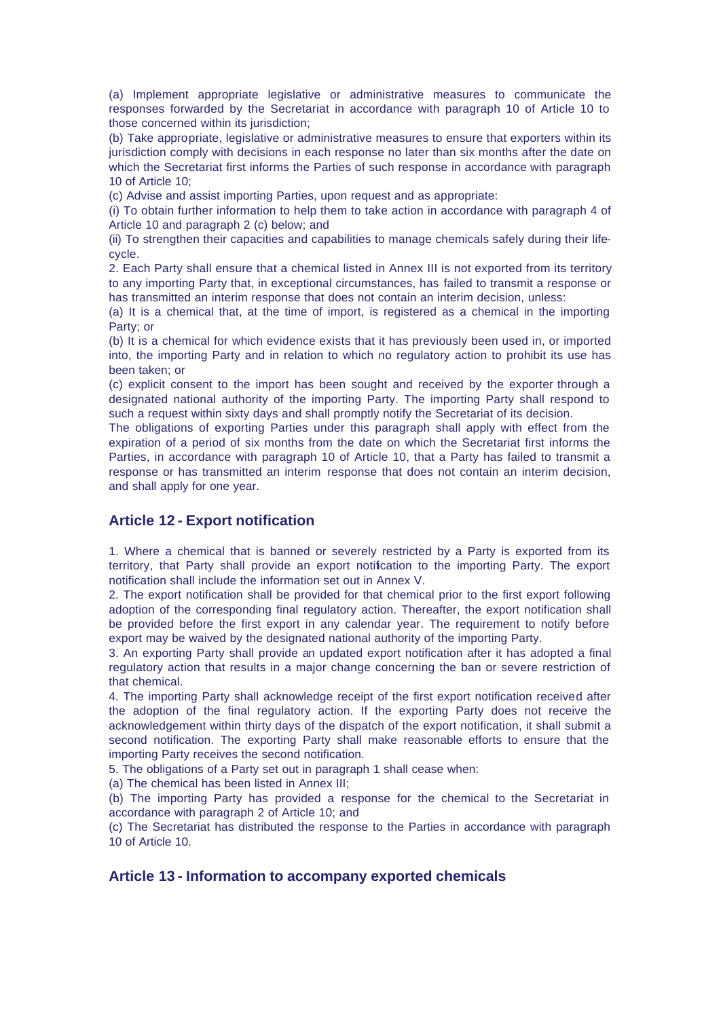(a) Implement appropriate legislative or administrative measures to communicate the responses forwarded by the Secretariat in accordance with paragraph 10 of Article 10 to those concerned within its jurisdiction;

(b) Take appropriate, legislative or administrative measures to ensure that exporters within its jurisdiction comply with decisions in each response no later than six months after the date on which the Secretariat first informs the Parties of such response in accordance with paragraph 10 of Article 10;

(c) Advise and assist importing Parties, upon request and as appropriate:

(i) To obtain further information to help them to take action in accordance with paragraph 4 of Article 10 and paragraph 2 (c) below; and

(ii) To strengthen their capacities and capabilities to manage chemicals safely during their lifecycle.

2. Each Party shall ensure that a chemical listed in Annex III is not exported from its territory to any importing Party that, in exceptional circumstances, has failed to transmit a response or has transmitted an interim response that does not contain an interim decision, unless:

(a) It is a chemical that, at the time of import, is registered as a chemical in the importing Party; or

(b) It is a chemical for which evidence exists that it has previously been used in, or imported into, the importing Party and in relation to which no regulatory action to prohibit its use has been taken; or

(c) explicit consent to the import has been sought and received by the exporter through a designated national authority of the importing Party. The importing Party shall respond to such a request within sixty days and shall promptly notify the Secretariat of its decision.

The obligations of exporting Parties under this paragraph shall apply with effect from the expiration of a period of six months from the date on which the Secretariat first informs the Parties, in accordance with paragraph 10 of Article 10, that a Party has failed to transmit a response or has transmitted an interim response that does not contain an interim decision, and shall apply for one year.

#### **Article 12 - Export notification**

1. Where a chemical that is banned or severely restricted by a Party is exported from its territory, that Party shall provide an export notification to the importing Party. The export notification shall include the information set out in Annex V.

2. The export notification shall be provided for that chemical prior to the first export following adoption of the corresponding final regulatory action. Thereafter, the export notification shall be provided before the first export in any calendar year. The requirement to notify before export may be waived by the designated national authority of the importing Party.

3. An exporting Party shall provide an updated export notification after it has adopted a final regulatory action that results in a major change concerning the ban or severe restriction of that chemical.

4. The importing Party shall acknowledge receipt of the first export notification received after the adoption of the final regulatory action. If the exporting Party does not receive the acknowledgement within thirty days of the dispatch of the export notification, it shall submit a second notification. The exporting Party shall make reasonable efforts to ensure that the importing Party receives the second notification.

5. The obligations of a Party set out in paragraph 1 shall cease when:

(a) The chemical has been listed in Annex III;

(b) The importing Party has provided a response for the chemical to the Secretariat in accordance with paragraph 2 of Article 10; and

(c) The Secretariat has distributed the response to the Parties in accordance with paragraph 10 of Article 10.

#### **Article 13 - Information to accompany exported chemicals**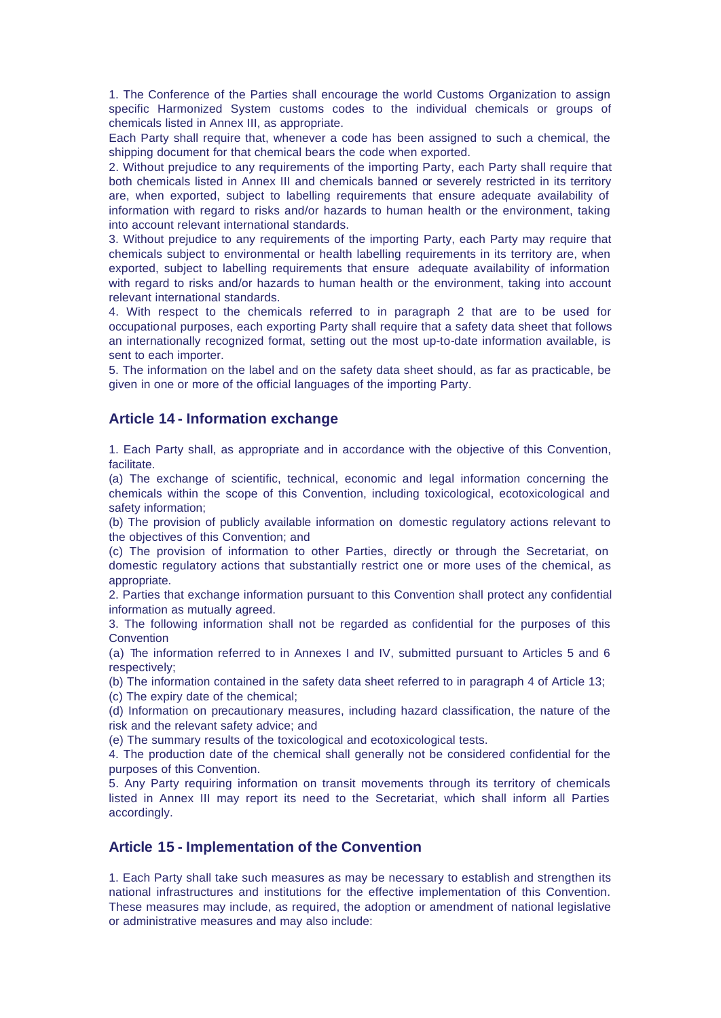1. The Conference of the Parties shall encourage the world Customs Organization to assign specific Harmonized System customs codes to the individual chemicals or groups of chemicals listed in Annex III, as appropriate.

Each Party shall require that, whenever a code has been assigned to such a chemical, the shipping document for that chemical bears the code when exported.

2. Without prejudice to any requirements of the importing Party, each Party shall require that both chemicals listed in Annex III and chemicals banned or severely restricted in its territory are, when exported, subject to labelling requirements that ensure adequate availability of information with regard to risks and/or hazards to human health or the environment, taking into account relevant international standards.

3. Without prejudice to any requirements of the importing Party, each Party may require that chemicals subject to environmental or health labelling requirements in its territory are, when exported, subject to labelling requirements that ensure adequate availability of information with regard to risks and/or hazards to human health or the environment, taking into account relevant international standards.

4. With respect to the chemicals referred to in paragraph 2 that are to be used for occupational purposes, each exporting Party shall require that a safety data sheet that follows an internationally recognized format, setting out the most up-to-date information available, is sent to each importer.

5. The information on the label and on the safety data sheet should, as far as practicable, be given in one or more of the official languages of the importing Party.

#### **Article 14 - Information exchange**

1. Each Party shall, as appropriate and in accordance with the objective of this Convention, facilitate.

(a) The exchange of scientific, technical, economic and legal information concerning the chemicals within the scope of this Convention, including toxicological, ecotoxicological and safety information;

(b) The provision of publicly available information on domestic regulatory actions relevant to the objectives of this Convention; and

(c) The provision of information to other Parties, directly or through the Secretariat, on domestic regulatory actions that substantially restrict one or more uses of the chemical, as appropriate.

2. Parties that exchange information pursuant to this Convention shall protect any confidential information as mutually agreed.

3. The following information shall not be regarded as confidential for the purposes of this **Convention** 

(a) The information referred to in Annexes I and IV, submitted pursuant to Articles 5 and 6 respectively;

(b) The information contained in the safety data sheet referred to in paragraph 4 of Article 13; (c) The expiry date of the chemical;

(d) Information on precautionary measures, including hazard classification, the nature of the risk and the relevant safety advice; and

(e) The summary results of the toxicological and ecotoxicological tests.

4. The production date of the chemical shall generally not be considered confidential for the purposes of this Convention.

5. Any Party requiring information on transit movements through its territory of chemicals listed in Annex III may report its need to the Secretariat, which shall inform all Parties accordingly.

#### **Article 15 - Implementation of the Convention**

1. Each Party shall take such measures as may be necessary to establish and strengthen its national infrastructures and institutions for the effective implementation of this Convention. These measures may include, as required, the adoption or amendment of national legislative or administrative measures and may also include: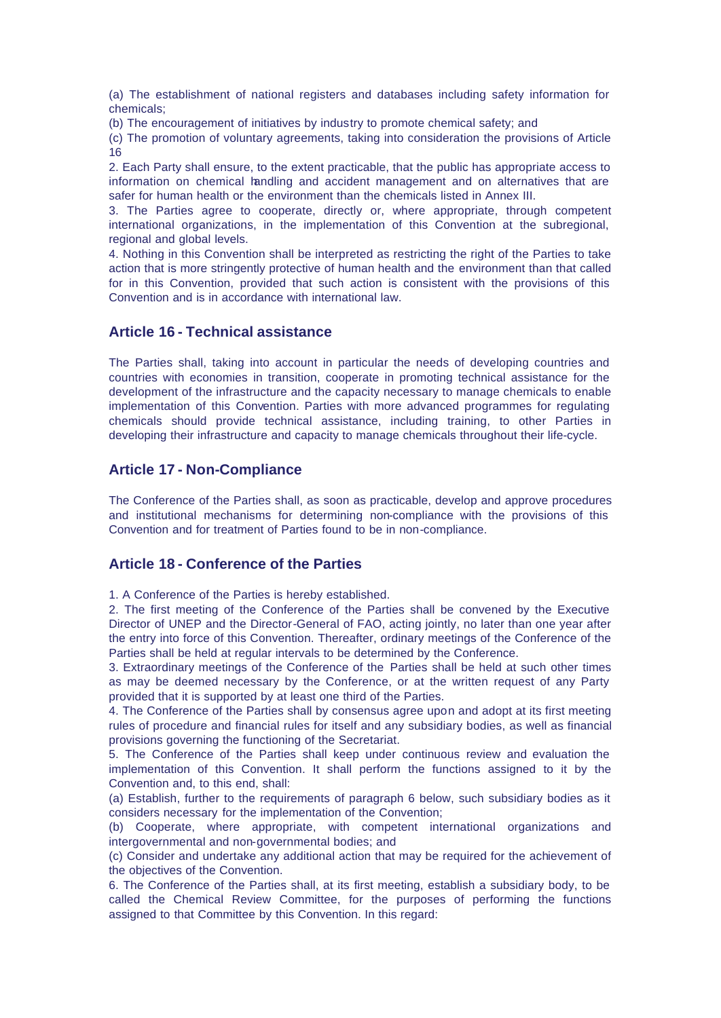(a) The establishment of national registers and databases including safety information for chemicals;

(b) The encouragement of initiatives by industry to promote chemical safety; and

(c) The promotion of voluntary agreements, taking into consideration the provisions of Article 16

2. Each Party shall ensure, to the extent practicable, that the public has appropriate access to information on chemical handling and accident management and on alternatives that are safer for human health or the environment than the chemicals listed in Annex III.

3. The Parties agree to cooperate, directly or, where appropriate, through competent international organizations, in the implementation of this Convention at the subregional, regional and global levels.

4. Nothing in this Convention shall be interpreted as restricting the right of the Parties to take action that is more stringently protective of human health and the environment than that called for in this Convention, provided that such action is consistent with the provisions of this Convention and is in accordance with international law.

#### **Article 16 - Technical assistance**

The Parties shall, taking into account in particular the needs of developing countries and countries with economies in transition, cooperate in promoting technical assistance for the development of the infrastructure and the capacity necessary to manage chemicals to enable implementation of this Convention. Parties with more advanced programmes for regulating chemicals should provide technical assistance, including training, to other Parties in developing their infrastructure and capacity to manage chemicals throughout their life-cycle.

#### **Article 17 - Non-Compliance**

The Conference of the Parties shall, as soon as practicable, develop and approve procedures and institutional mechanisms for determining non-compliance with the provisions of this Convention and for treatment of Parties found to be in non-compliance.

#### **Article 18 - Conference of the Parties**

1. A Conference of the Parties is hereby established.

2. The first meeting of the Conference of the Parties shall be convened by the Executive Director of UNEP and the Director-General of FAO, acting jointly, no later than one year after the entry into force of this Convention. Thereafter, ordinary meetings of the Conference of the Parties shall be held at regular intervals to be determined by the Conference.

3. Extraordinary meetings of the Conference of the Parties shall be held at such other times as may be deemed necessary by the Conference, or at the written request of any Party provided that it is supported by at least one third of the Parties.

4. The Conference of the Parties shall by consensus agree upon and adopt at its first meeting rules of procedure and financial rules for itself and any subsidiary bodies, as well as financial provisions governing the functioning of the Secretariat.

5. The Conference of the Parties shall keep under continuous review and evaluation the implementation of this Convention. It shall perform the functions assigned to it by the Convention and, to this end, shall:

(a) Establish, further to the requirements of paragraph 6 below, such subsidiary bodies as it considers necessary for the implementation of the Convention;

(b) Cooperate, where appropriate, with competent international organizations and intergovernmental and non-governmental bodies; and

(c) Consider and undertake any additional action that may be required for the achievement of the objectives of the Convention.

6. The Conference of the Parties shall, at its first meeting, establish a subsidiary body, to be called the Chemical Review Committee, for the purposes of performing the functions assigned to that Committee by this Convention. In this regard: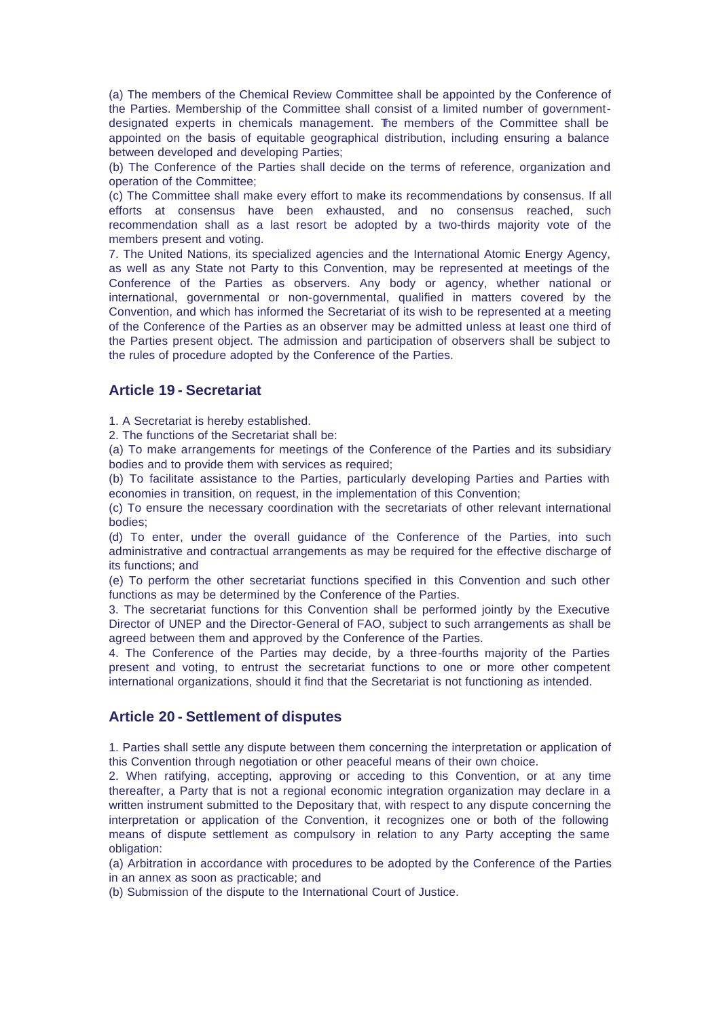(a) The members of the Chemical Review Committee shall be appointed by the Conference of the Parties. Membership of the Committee shall consist of a limited number of governmentdesignated experts in chemicals management. The members of the Committee shall be appointed on the basis of equitable geographical distribution, including ensuring a balance between developed and developing Parties;

(b) The Conference of the Parties shall decide on the terms of reference, organization and operation of the Committee;

(c) The Committee shall make every effort to make its recommendations by consensus. If all efforts at consensus have been exhausted, and no consensus reached, such recommendation shall as a last resort be adopted by a two-thirds majority vote of the members present and voting.

7. The United Nations, its specialized agencies and the International Atomic Energy Agency, as well as any State not Party to this Convention, may be represented at meetings of the Conference of the Parties as observers. Any body or agency, whether national or international, governmental or non-governmental, qualified in matters covered by the Convention, and which has informed the Secretariat of its wish to be represented at a meeting of the Conference of the Parties as an observer may be admitted unless at least one third of the Parties present object. The admission and participation of observers shall be subject to the rules of procedure adopted by the Conference of the Parties.

#### **Article 19 - Secretariat**

1. A Secretariat is hereby established.

2. The functions of the Secretariat shall be:

(a) To make arrangements for meetings of the Conference of the Parties and its subsidiary bodies and to provide them with services as required;

(b) To facilitate assistance to the Parties, particularly developing Parties and Parties with economies in transition, on request, in the implementation of this Convention;

(c) To ensure the necessary coordination with the secretariats of other relevant international bodies;

(d) To enter, under the overall guidance of the Conference of the Parties, into such administrative and contractual arrangements as may be required for the effective discharge of its functions; and

(e) To perform the other secretariat functions specified in this Convention and such other functions as may be determined by the Conference of the Parties.

3. The secretariat functions for this Convention shall be performed jointly by the Executive Director of UNEP and the Director-General of FAO, subject to such arrangements as shall be agreed between them and approved by the Conference of the Parties.

4. The Conference of the Parties may decide, by a three-fourths majority of the Parties present and voting, to entrust the secretariat functions to one or more other competent international organizations, should it find that the Secretariat is not functioning as intended.

#### **Article 20 - Settlement of disputes**

1. Parties shall settle any dispute between them concerning the interpretation or application of this Convention through negotiation or other peaceful means of their own choice.

2. When ratifying, accepting, approving or acceding to this Convention, or at any time thereafter, a Party that is not a regional economic integration organization may declare in a written instrument submitted to the Depositary that, with respect to any dispute concerning the interpretation or application of the Convention, it recognizes one or both of the following means of dispute settlement as compulsory in relation to any Party accepting the same obligation:

(a) Arbitration in accordance with procedures to be adopted by the Conference of the Parties in an annex as soon as practicable; and

(b) Submission of the dispute to the International Court of Justice.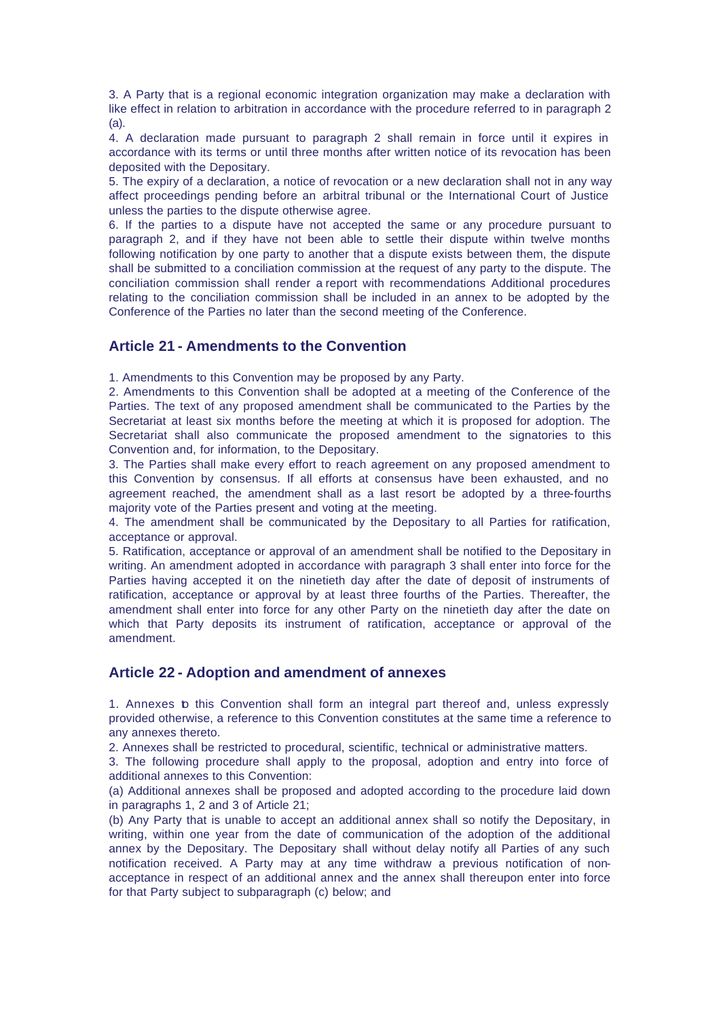3. A Party that is a regional economic integration organization may make a declaration with like effect in relation to arbitration in accordance with the procedure referred to in paragraph 2 (a).

4. A declaration made pursuant to paragraph 2 shall remain in force until it expires in accordance with its terms or until three months after written notice of its revocation has been deposited with the Depositary.

5. The expiry of a declaration, a notice of revocation or a new declaration shall not in any way affect proceedings pending before an arbitral tribunal or the International Court of Justice unless the parties to the dispute otherwise agree.

6. If the parties to a dispute have not accepted the same or any procedure pursuant to paragraph 2, and if they have not been able to settle their dispute within twelve months following notification by one party to another that a dispute exists between them, the dispute shall be submitted to a conciliation commission at the request of any party to the dispute. The conciliation commission shall render a report with recommendations Additional procedures relating to the conciliation commission shall be included in an annex to be adopted by the Conference of the Parties no later than the second meeting of the Conference.

#### **Article 21 - Amendments to the Convention**

1. Amendments to this Convention may be proposed by any Party.

2. Amendments to this Convention shall be adopted at a meeting of the Conference of the Parties. The text of any proposed amendment shall be communicated to the Parties by the Secretariat at least six months before the meeting at which it is proposed for adoption. The Secretariat shall also communicate the proposed amendment to the signatories to this Convention and, for information, to the Depositary.

3. The Parties shall make every effort to reach agreement on any proposed amendment to this Convention by consensus. If all efforts at consensus have been exhausted, and no agreement reached, the amendment shall as a last resort be adopted by a three-fourths majority vote of the Parties present and voting at the meeting.

4. The amendment shall be communicated by the Depositary to all Parties for ratification, acceptance or approval.

5. Ratification, acceptance or approval of an amendment shall be notified to the Depositary in writing. An amendment adopted in accordance with paragraph 3 shall enter into force for the Parties having accepted it on the ninetieth day after the date of deposit of instruments of ratification, acceptance or approval by at least three fourths of the Parties. Thereafter, the amendment shall enter into force for any other Party on the ninetieth day after the date on which that Party deposits its instrument of ratification, acceptance or approval of the amendment.

#### **Article 22 - Adoption and amendment of annexes**

1. Annexes to this Convention shall form an integral part thereof and, unless expressly provided otherwise, a reference to this Convention constitutes at the same time a reference to any annexes thereto.

2. Annexes shall be restricted to procedural, scientific, technical or administrative matters.

3. The following procedure shall apply to the proposal, adoption and entry into force of additional annexes to this Convention:

(a) Additional annexes shall be proposed and adopted according to the procedure laid down in paragraphs 1, 2 and 3 of Article 21;

(b) Any Party that is unable to accept an additional annex shall so notify the Depositary, in writing, within one year from the date of communication of the adoption of the additional annex by the Depositary. The Depositary shall without delay notify all Parties of any such notification received. A Party may at any time withdraw a previous notification of nonacceptance in respect of an additional annex and the annex shall thereupon enter into force for that Party subject to subparagraph (c) below; and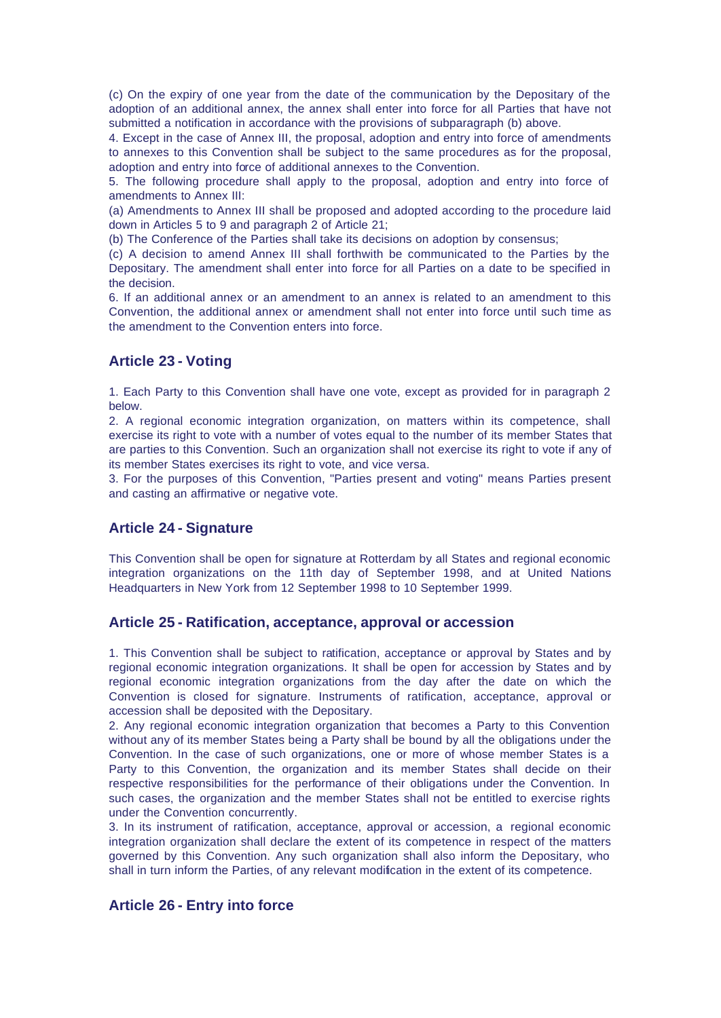(c) On the expiry of one year from the date of the communication by the Depositary of the adoption of an additional annex, the annex shall enter into force for all Parties that have not submitted a notification in accordance with the provisions of subparagraph (b) above.

4. Except in the case of Annex III, the proposal, adoption and entry into force of amendments to annexes to this Convention shall be subject to the same procedures as for the proposal, adoption and entry into force of additional annexes to the Convention.

5. The following procedure shall apply to the proposal, adoption and entry into force of amendments to Annex III:

(a) Amendments to Annex III shall be proposed and adopted according to the procedure laid down in Articles 5 to 9 and paragraph 2 of Article 21;

(b) The Conference of the Parties shall take its decisions on adoption by consensus;

(c) A decision to amend Annex III shall forthwith be communicated to the Parties by the Depositary. The amendment shall enter into force for all Parties on a date to be specified in the decision.

6. If an additional annex or an amendment to an annex is related to an amendment to this Convention, the additional annex or amendment shall not enter into force until such time as the amendment to the Convention enters into force.

#### **Article 23 - Voting**

1. Each Party to this Convention shall have one vote, except as provided for in paragraph 2 below.

2. A regional economic integration organization, on matters within its competence, shall exercise its right to vote with a number of votes equal to the number of its member States that are parties to this Convention. Such an organization shall not exercise its right to vote if any of its member States exercises its right to vote, and vice versa.

3. For the purposes of this Convention, "Parties present and voting" means Parties present and casting an affirmative or negative vote.

#### **Article 24 - Signature**

This Convention shall be open for signature at Rotterdam by all States and regional economic integration organizations on the 11th day of September 1998, and at United Nations Headquarters in New York from 12 September 1998 to 10 September 1999.

#### **Article 25 - Ratification, acceptance, approval or accession**

1. This Convention shall be subject to ratification, acceptance or approval by States and by regional economic integration organizations. It shall be open for accession by States and by regional economic integration organizations from the day after the date on which the Convention is closed for signature. Instruments of ratification, acceptance, approval or accession shall be deposited with the Depositary.

2. Any regional economic integration organization that becomes a Party to this Convention without any of its member States being a Party shall be bound by all the obligations under the Convention. In the case of such organizations, one or more of whose member States is a Party to this Convention, the organization and its member States shall decide on their respective responsibilities for the performance of their obligations under the Convention. In such cases, the organization and the member States shall not be entitled to exercise rights under the Convention concurrently.

3. In its instrument of ratification, acceptance, approval or accession, a regional economic integration organization shall declare the extent of its competence in respect of the matters governed by this Convention. Any such organization shall also inform the Depositary, who shall in turn inform the Parties, of any relevant modification in the extent of its competence.

#### **Article 26 - Entry into force**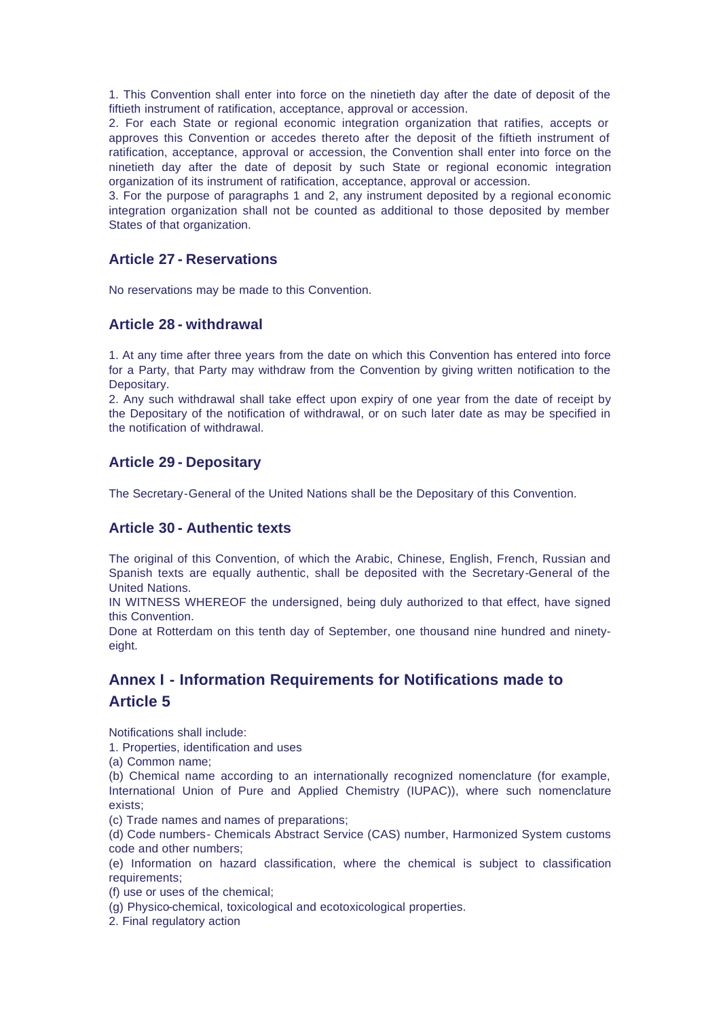1. This Convention shall enter into force on the ninetieth day after the date of deposit of the fiftieth instrument of ratification, acceptance, approval or accession.

2. For each State or regional economic integration organization that ratifies, accepts or approves this Convention or accedes thereto after the deposit of the fiftieth instrument of ratification, acceptance, approval or accession, the Convention shall enter into force on the ninetieth day after the date of deposit by such State or regional economic integration organization of its instrument of ratification, acceptance, approval or accession.

3. For the purpose of paragraphs 1 and 2, any instrument deposited by a regional economic integration organization shall not be counted as additional to those deposited by member States of that organization.

#### **Article 27 - Reservations**

No reservations may be made to this Convention.

#### **Article 28 - withdrawal**

1. At any time after three years from the date on which this Convention has entered into force for a Party, that Party may withdraw from the Convention by giving written notification to the Depositary.

2. Any such withdrawal shall take effect upon expiry of one year from the date of receipt by the Depositary of the notification of withdrawal, or on such later date as may be specified in the notification of withdrawal.

#### **Article 29 - Depositary**

The Secretary-General of the United Nations shall be the Depositary of this Convention.

#### **Article 30 - Authentic texts**

The original of this Convention, of which the Arabic, Chinese, English, French, Russian and Spanish texts are equally authentic, shall be deposited with the Secretary-General of the United Nations.

IN WITNESS WHEREOF the undersigned, being duly authorized to that effect, have signed this Convention.

Done at Rotterdam on this tenth day of September, one thousand nine hundred and ninetyeight.

## **Annex I - Information Requirements for Notifications made to Article 5**

Notifications shall include:

1. Properties, identification and uses

(a) Common name;

(b) Chemical name according to an internationally recognized nomenclature (for example, International Union of Pure and Applied Chemistry (IUPAC)), where such nomenclature exists;

(c) Trade names and names of preparations;

(d) Code numbers- Chemicals Abstract Service (CAS) number, Harmonized System customs code and other numbers;

(e) Information on hazard classification, where the chemical is subject to classification requirements;

(f) use or uses of the chemical;

(g) Physico-chemical, toxicological and ecotoxicological properties.

2. Final regulatory action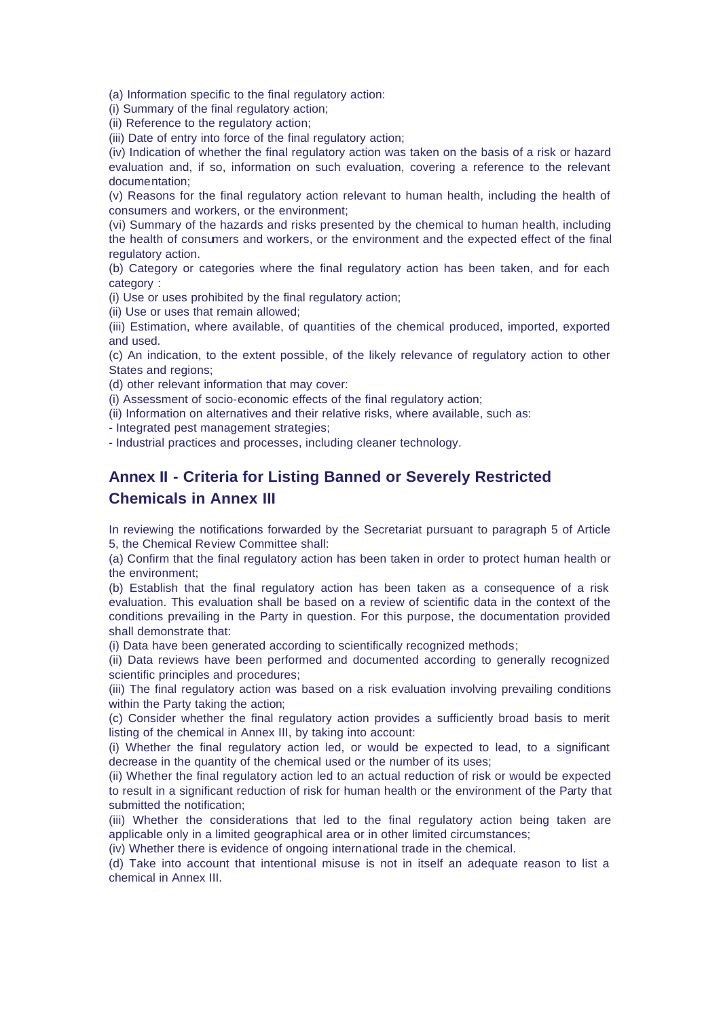(a) Information specific to the final regulatory action:

(i) Summary of the final regulatory action;

(ii) Reference to the regulatory action;

(iii) Date of entry into force of the final regulatory action;

(iv) Indication of whether the final regulatory action was taken on the basis of a risk or hazard evaluation and, if so, information on such evaluation, covering a reference to the relevant documentation;

(v) Reasons for the final regulatory action relevant to human health, including the health of consumers and workers, or the environment;

(vi) Summary of the hazards and risks presented by the chemical to human health, including the health of consumers and workers, or the environment and the expected effect of the final regulatory action.

(b) Category or categories where the final regulatory action has been taken, and for each category :

(i) Use or uses prohibited by the final regulatory action;

(ii) Use or uses that remain allowed;

(iii) Estimation, where available, of quantities of the chemical produced, imported, exported and used.

(c) An indication, to the extent possible, of the likely relevance of regulatory action to other States and regions;

(d) other relevant information that may cover:

(i) Assessment of socio-economic effects of the final regulatory action;

(ii) Information on alternatives and their relative risks, where available, such as:

- Integrated pest management strategies;

- Industrial practices and processes, including cleaner technology.

## **Annex II - Criteria for Listing Banned or Severely Restricted Chemicals in Annex III**

In reviewing the notifications forwarded by the Secretariat pursuant to paragraph 5 of Article 5, the Chemical Review Committee shall:

(a) Confirm that the final regulatory action has been taken in order to protect human health or the environment;

(b) Establish that the final regulatory action has been taken as a consequence of a risk evaluation. This evaluation shall be based on a review of scientific data in the context of the conditions prevailing in the Party in question. For this purpose, the documentation provided shall demonstrate that:

(i) Data have been generated according to scientifically recognized methods;

(ii) Data reviews have been performed and documented according to generally recognized scientific principles and procedures;

(iii) The final regulatory action was based on a risk evaluation involving prevailing conditions within the Party taking the action;

(c) Consider whether the final regulatory action provides a sufficiently broad basis to merit listing of the chemical in Annex III, by taking into account:

(i) Whether the final regulatory action led, or would be expected to lead, to a significant decrease in the quantity of the chemical used or the number of its uses;

(ii) Whether the final regulatory action led to an actual reduction of risk or would be expected to result in a significant reduction of risk for human health or the environment of the Party that submitted the notification;

(iii) Whether the considerations that led to the final regulatory action being taken are applicable only in a limited geographical area or in other limited circumstances;

(iv) Whether there is evidence of ongoing international trade in the chemical.

(d) Take into account that intentional misuse is not in itself an adequate reason to list a chemical in Annex III.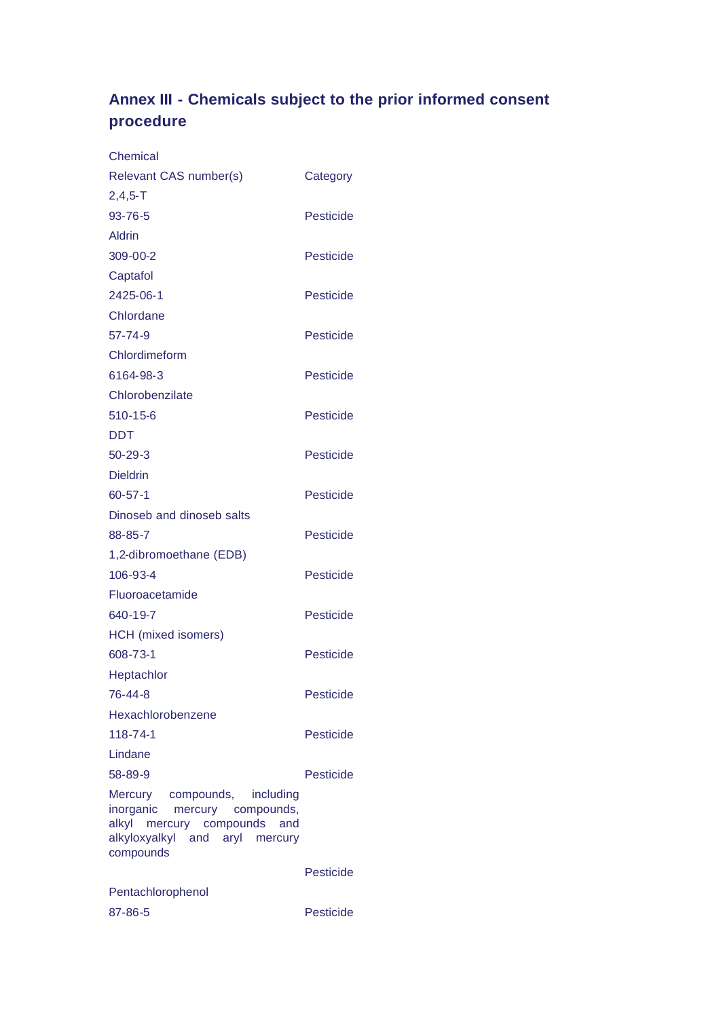# **Annex III - Chemicals subject to the prior informed consent procedure**

| Chemical                                                                                                                                         |                  |
|--------------------------------------------------------------------------------------------------------------------------------------------------|------------------|
| Relevant CAS number(s)                                                                                                                           | Category         |
| $2,4,5$ -T                                                                                                                                       |                  |
| 93-76-5                                                                                                                                          | Pesticide        |
| Aldrin                                                                                                                                           |                  |
| 309-00-2                                                                                                                                         | Pesticide        |
| Captafol                                                                                                                                         |                  |
| 2425-06-1                                                                                                                                        | Pesticide        |
| Chlordane                                                                                                                                        |                  |
| 57-74-9                                                                                                                                          | Pesticide        |
| Chlordimeform                                                                                                                                    |                  |
| 6164-98-3                                                                                                                                        | Pesticide        |
| Chlorobenzilate                                                                                                                                  |                  |
| $510 - 15 - 6$                                                                                                                                   | Pesticide        |
| DDT                                                                                                                                              |                  |
| $50 - 29 - 3$                                                                                                                                    | Pesticide        |
| <b>Dieldrin</b>                                                                                                                                  |                  |
| $60 - 57 - 1$                                                                                                                                    | Pesticide        |
| Dinoseb and dinoseb salts                                                                                                                        |                  |
| 88-85-7                                                                                                                                          | Pesticide        |
| 1,2-dibromoethane (EDB)                                                                                                                          |                  |
| 106-93-4                                                                                                                                         | Pesticide        |
| Fluoroacetamide                                                                                                                                  |                  |
| 640-19-7                                                                                                                                         | Pesticide        |
| <b>HCH</b> (mixed isomers)                                                                                                                       |                  |
| 608-73-1                                                                                                                                         | Pesticide        |
| Heptachlor                                                                                                                                       |                  |
| 76-44-8                                                                                                                                          | <b>Pesticide</b> |
| Hexachlorobenzene                                                                                                                                |                  |
| 118-74-1                                                                                                                                         | <b>Pesticide</b> |
| Lindane                                                                                                                                          |                  |
| 58-89-9                                                                                                                                          | Pesticide        |
| Mercury compounds, including<br>inorganic mercury compounds,<br>alkyl mercury compounds<br>and<br>alkyloxyalkyl and aryl<br>mercury<br>compounds |                  |
|                                                                                                                                                  | Pesticide        |
| Pentachlorophenol                                                                                                                                |                  |
| 87-86-5                                                                                                                                          | <b>Pesticide</b> |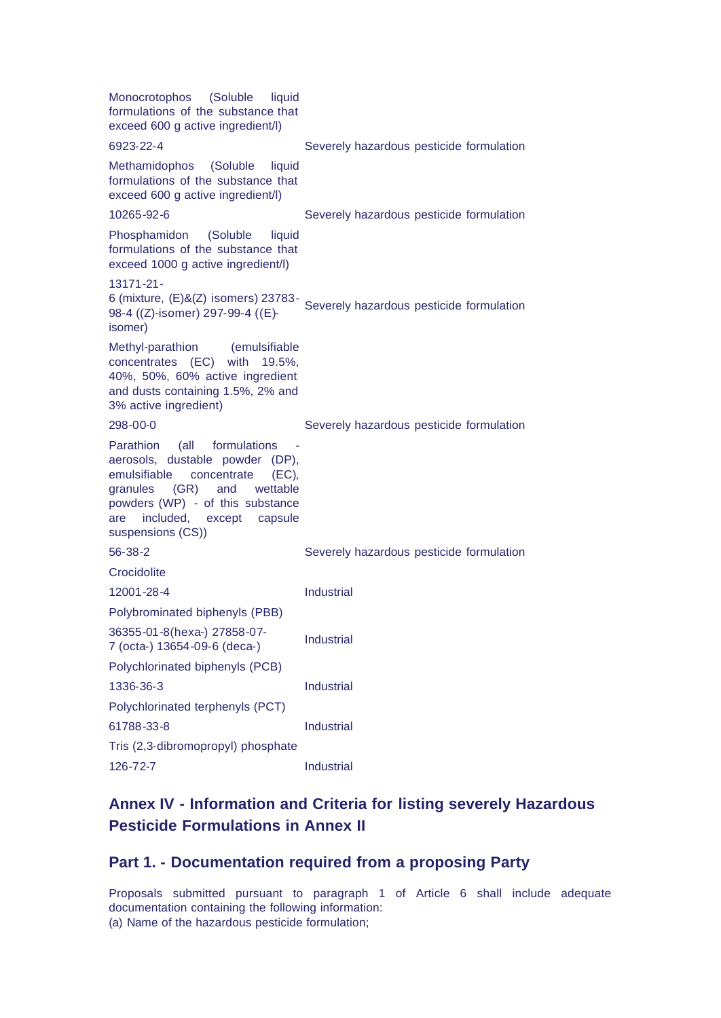| Monocrotophos (Soluble liquid<br>formulations of the substance that<br>exceed 600 g active ingredient/l)                                                                                                                               |                                          |
|----------------------------------------------------------------------------------------------------------------------------------------------------------------------------------------------------------------------------------------|------------------------------------------|
| 6923-22-4                                                                                                                                                                                                                              | Severely hazardous pesticide formulation |
| Methamidophos (Soluble<br>liquid<br>formulations of the substance that<br>exceed 600 g active ingredient/l)                                                                                                                            |                                          |
| 10265-92-6                                                                                                                                                                                                                             | Severely hazardous pesticide formulation |
| Phosphamidon (Soluble liquid<br>formulations of the substance that<br>exceed 1000 g active ingredient/l)                                                                                                                               |                                          |
| 13171-21-<br>6 (mixture, (E)&(Z) isomers) 23783-<br>98-4 ((Z)-isomer) 297-99-4 ((E)-<br>isomer)                                                                                                                                        | Severely hazardous pesticide formulation |
| Methyl-parathion (emulsifiable<br>concentrates (EC) with<br>19.5%.<br>40%, 50%, 60% active ingredient<br>and dusts containing 1.5%, 2% and<br>3% active ingredient)                                                                    |                                          |
| 298-00-0                                                                                                                                                                                                                               | Severely hazardous pesticide formulation |
| (all formulations<br>Parathion<br>aerosols, dustable powder (DP),<br>emulsifiable concentrate<br>(EC),<br>granules (GR)<br>and<br>wettable<br>powders (WP) - of this substance<br>included, except capsule<br>are<br>suspensions (CS)) |                                          |
| $56 - 38 - 2$                                                                                                                                                                                                                          | Severely hazardous pesticide formulation |
| Crocidolite                                                                                                                                                                                                                            |                                          |
| 12001-28-4                                                                                                                                                                                                                             | Industrial                               |
| Polybrominated biphenyls (PBB)                                                                                                                                                                                                         |                                          |
| 36355-01-8(hexa-) 27858-07-<br>7 (octa-) 13654-09-6 (deca-)                                                                                                                                                                            | Industrial                               |
| Polychlorinated biphenyls (PCB)                                                                                                                                                                                                        |                                          |
| 1336-36-3                                                                                                                                                                                                                              | Industrial                               |
| Polychlorinated terphenyls (PCT)                                                                                                                                                                                                       |                                          |
| 61788-33-8                                                                                                                                                                                                                             | Industrial                               |
| Tris (2,3-dibromopropyl) phosphate                                                                                                                                                                                                     |                                          |
| 126-72-7                                                                                                                                                                                                                               | Industrial                               |

## **Annex IV - Information and Criteria for listing severely Hazardous Pesticide Formulations in Annex II**

### **Part 1. - Documentation required from a proposing Party**

Proposals submitted pursuant to paragraph 1 of Article 6 shall include adequate documentation containing the following information: (a) Name of the hazardous pesticide formulation;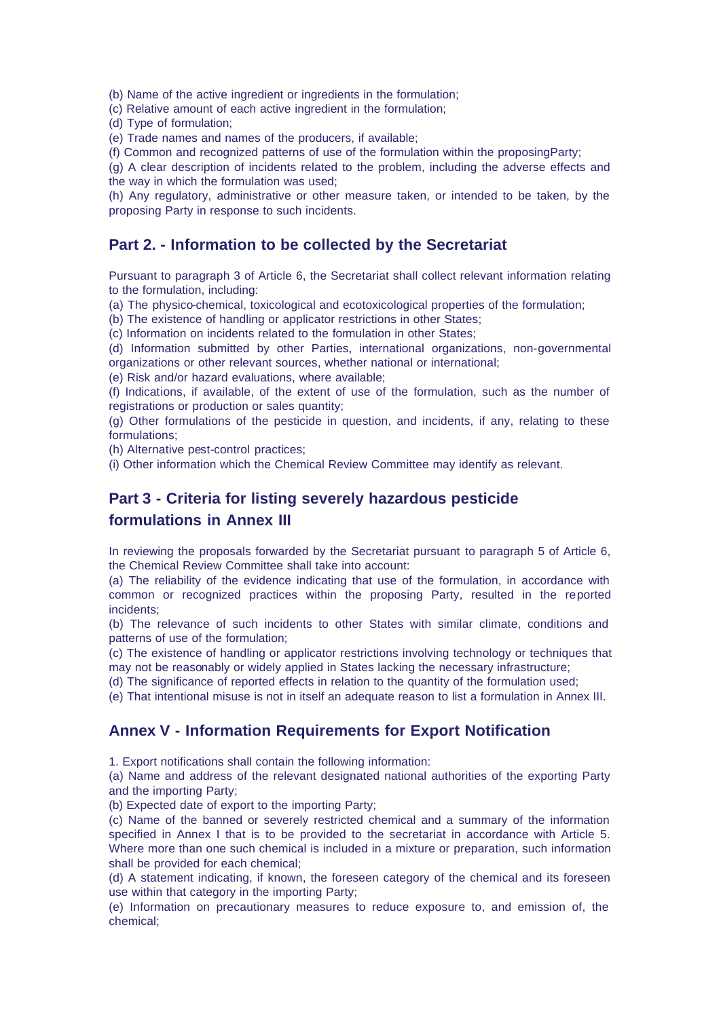(b) Name of the active ingredient or ingredients in the formulation;

(c) Relative amount of each active ingredient in the formulation;

(d) Type of formulation;

(e) Trade names and names of the producers, if available;

(f) Common and recognized patterns of use of the formulation within the proposingParty;

(g) A clear description of incidents related to the problem, including the adverse effects and the way in which the formulation was used;

(h) Any regulatory, administrative or other measure taken, or intended to be taken, by the proposing Party in response to such incidents.

### **Part 2. - Information to be collected by the Secretariat**

Pursuant to paragraph 3 of Article 6, the Secretariat shall collect relevant information relating to the formulation, including:

(a) The physico-chemical, toxicological and ecotoxicological properties of the formulation;

(b) The existence of handling or applicator restrictions in other States;

(c) Information on incidents related to the formulation in other States;

(d) Information submitted by other Parties, international organizations, non-governmental organizations or other relevant sources, whether national or international;

(e) Risk and/or hazard evaluations, where available;

(f) Indications, if available, of the extent of use of the formulation, such as the number of registrations or production or sales quantity;

(g) Other formulations of the pesticide in question, and incidents, if any, relating to these formulations;

(h) Alternative pest-control practices;

(i) Other information which the Chemical Review Committee may identify as relevant.

## **Part 3 - Criteria for listing severely hazardous pesticide formulations in Annex III**

In reviewing the proposals forwarded by the Secretariat pursuant to paragraph 5 of Article 6, the Chemical Review Committee shall take into account:

(a) The reliability of the evidence indicating that use of the formulation, in accordance with common or recognized practices within the proposing Party, resulted in the reported incidents;

(b) The relevance of such incidents to other States with similar climate, conditions and patterns of use of the formulation;

(c) The existence of handling or applicator restrictions involving technology or techniques that may not be reasonably or widely applied in States lacking the necessary infrastructure;

(d) The significance of reported effects in relation to the quantity of the formulation used;

(e) That intentional misuse is not in itself an adequate reason to list a formulation in Annex III.

#### **Annex V - Information Requirements for Export Notification**

1. Export notifications shall contain the following information:

(a) Name and address of the relevant designated national authorities of the exporting Party and the importing Party;

(b) Expected date of export to the importing Party;

(c) Name of the banned or severely restricted chemical and a summary of the information specified in Annex I that is to be provided to the secretariat in accordance with Article 5. Where more than one such chemical is included in a mixture or preparation, such information shall be provided for each chemical;

(d) A statement indicating, if known, the foreseen category of the chemical and its foreseen use within that category in the importing Party;

(e) Information on precautionary measures to reduce exposure to, and emission of, the chemical;